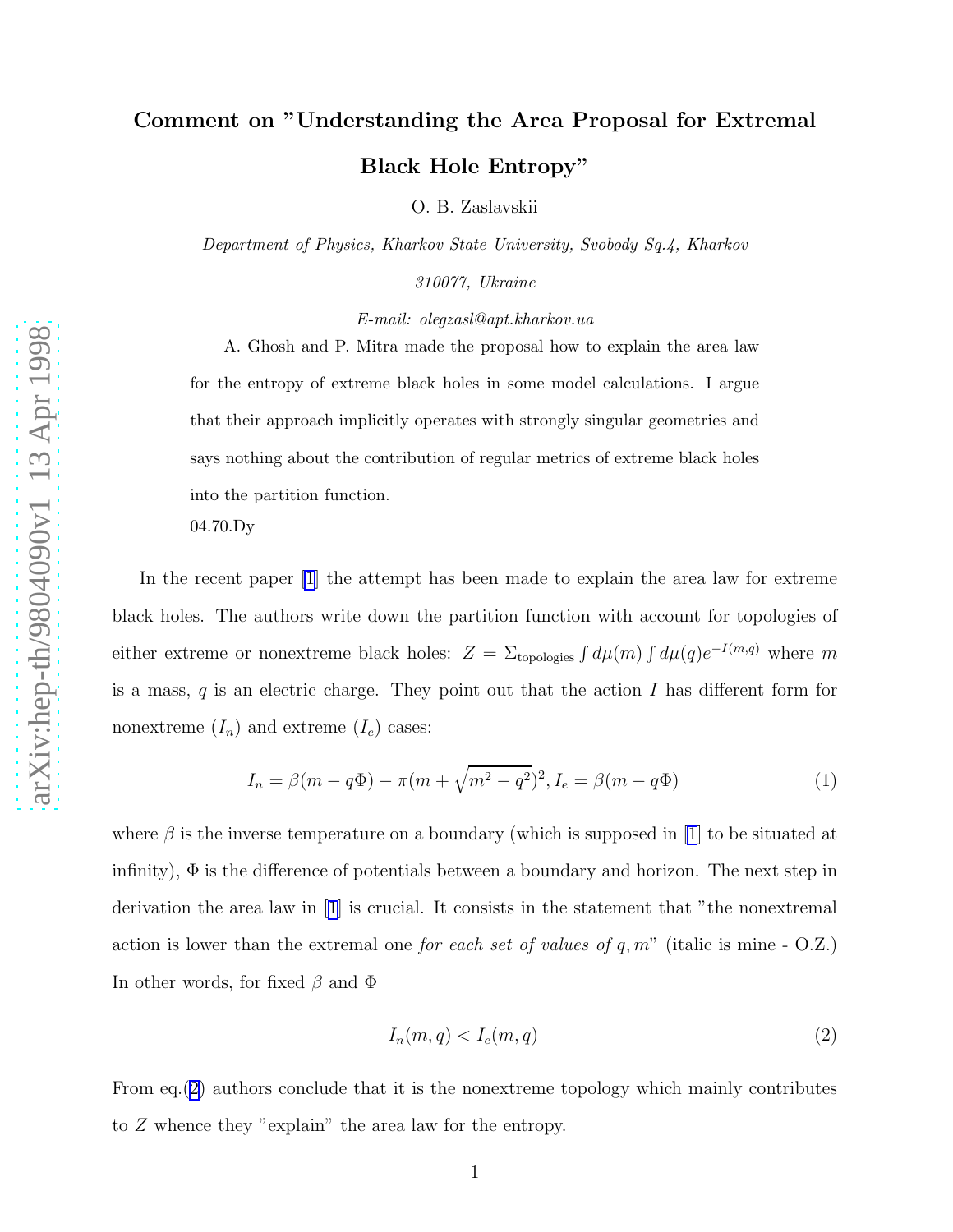## <span id="page-0-0"></span>Comment on "Understanding the Area Proposal for Extremal Black Hole Entropy"

O. B. Zaslavskii

*Department of Physics, Kharkov State University, Svobody Sq.4, Kharkov*

*310077, Ukraine*

*E-mail: olegzasl@apt.kharkov.ua*

A. Ghosh and P. Mitra made the proposal how to explain the area law for the entropy of extreme black holes in some model calculations. I argue that their approach implicitly operates with strongly singular geometries and says nothing about the contribution of regular metrics of extreme black holes into the partition function.

04.70.Dy

In the recent paper [\[1](#page-4-0)] the attempt has been made to explain the area law for extreme black holes. The authors write down the partition function with account for topologies of either extreme or nonextreme black holes:  $Z = \sum_{\text{topologies}} \int d\mu(m) \int d\mu(q) e^{-I(m,q)}$  where m is a mass,  $q$  is an electric charge. They point out that the action  $I$  has different form for nonextreme  $(I_n)$  and extreme  $(I_e)$  cases:

$$
I_n = \beta(m - q\Phi) - \pi(m + \sqrt{m^2 - q^2})^2, I_e = \beta(m - q\Phi)
$$
 (1)

where  $\beta$  is the inverse temperature on a boundary (which is supposed in [\[1](#page-4-0)] to be situated at infinity),  $\Phi$  is the difference of potentials between a boundary and horizon. The next step in derivation the area law in [\[1\]](#page-4-0) is crucial. It consists in the statement that "the nonextremal action is lower than the extremal one for each set of values of  $q, m'$  (italic is mine - O.Z.) In other words, for fixed  $\beta$  and  $\Phi$ 

$$
I_n(m, q) < I_e(m, q) \tag{2}
$$

From eq.(2) authors conclude that it is the nonextreme topology which mainly contributes to Z whence they "explain" the area law for the entropy.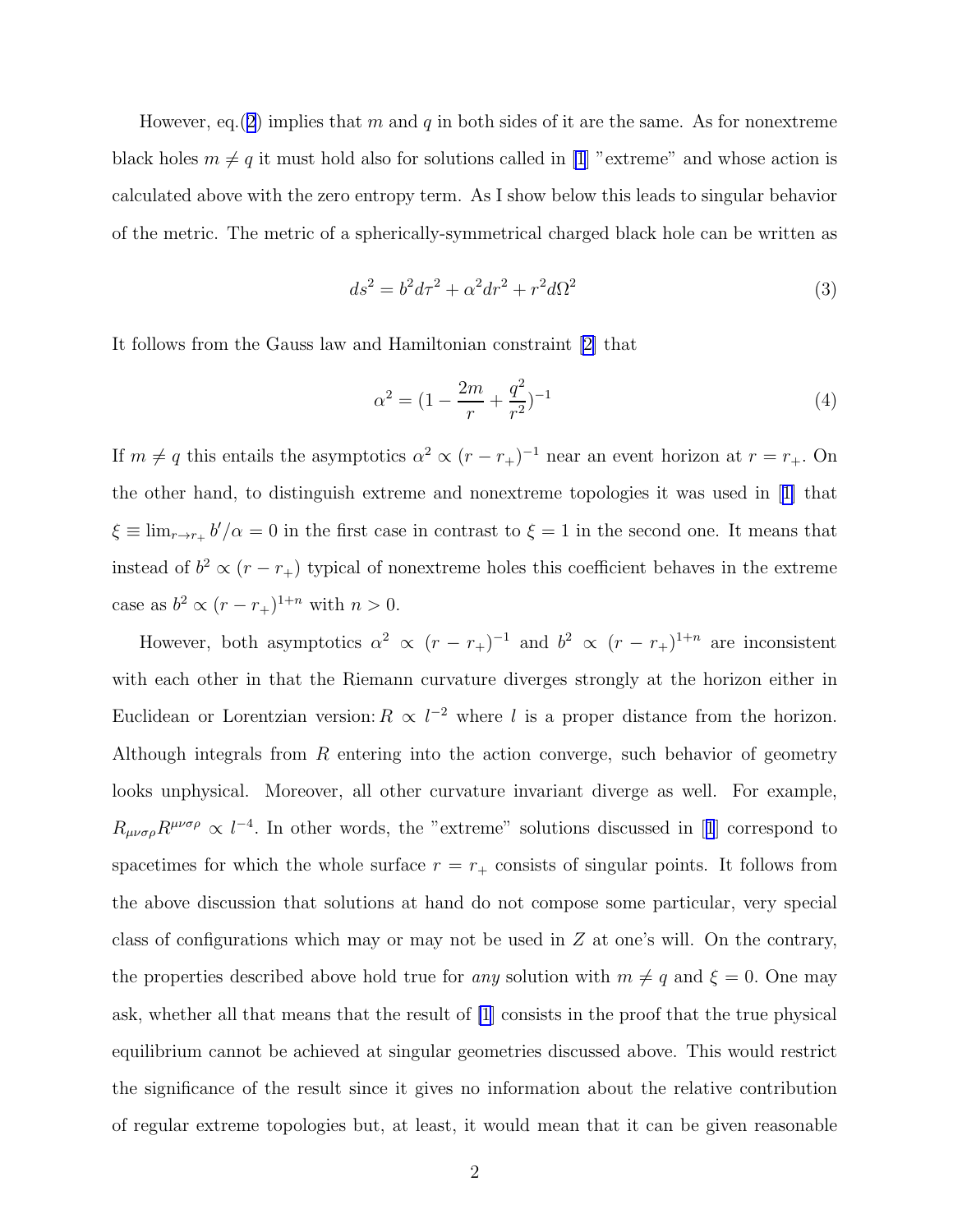However, eq.([2](#page-0-0)) implies that m and q in both sides of it are the same. As for nonextreme black holes  $m \neq q$  it must hold also for solutions called in [\[1](#page-4-0)] "extreme" and whose action is calculated above with the zero entropy term. As I show below this leads to singular behavior of the metric. The metric of a spherically-symmetrical charged black hole can be written as

$$
ds^2 = b^2 d\tau^2 + \alpha^2 dr^2 + r^2 d\Omega^2 \tag{3}
$$

It follows from the Gauss law and Hamiltonian constraint[[2\]](#page-4-0) that

$$
\alpha^2 = (1 - \frac{2m}{r} + \frac{q^2}{r^2})^{-1} \tag{4}
$$

If  $m \neq q$  this entails the asymptotics  $\alpha^2 \propto (r - r_+)^{-1}$  near an event horizon at  $r = r_+$ . On the other hand, to distinguish extreme and nonextreme topologies it was used in[[1\]](#page-4-0) that  $\xi \equiv \lim_{r \to r_+} b'/\alpha = 0$  in the first case in contrast to  $\xi = 1$  in the second one. It means that instead of  $b^2 \propto (r - r_+)$  typical of nonextreme holes this coefficient behaves in the extreme case as  $b^2 \propto (r - r_+)^{1+n}$  with  $n > 0$ .

However, both asymptotics  $\alpha^2 \propto (r - r_+)^{-1}$  and  $b^2 \propto (r - r_+)^{1+n}$  are inconsistent with each other in that the Riemann curvature diverges strongly at the horizon either in Euclidean or Lorentzian version:  $R \propto l^{-2}$  where l is a proper distance from the horizon. Although integrals from  $R$  entering into the action converge, such behavior of geometry looks unphysical. Moreover, all other curvature invariant diverge as well. For example,  $R_{\mu\nu\sigma\rho}R^{\mu\nu\sigma\rho} \propto l^{-4}$  $R_{\mu\nu\sigma\rho}R^{\mu\nu\sigma\rho} \propto l^{-4}$  $R_{\mu\nu\sigma\rho}R^{\mu\nu\sigma\rho} \propto l^{-4}$ . In other words, the "extreme" solutions discussed in [[1](#page-4-0)] correspond to spacetimes for which the whole surface  $r = r_+$  consists of singular points. It follows from the above discussion that solutions at hand do not compose some particular, very special class of configurations which may or may not be used in  $Z$  at one's will. On the contrary, the properties described above hold true for any solution with  $m \neq q$  and  $\xi = 0$ . One may ask, whether all that means that the result of [\[1](#page-4-0)] consists in the proof that the true physical equilibrium cannot be achieved at singular geometries discussed above. This would restrict the significance of the result since it gives no information about the relative contribution of regular extreme topologies but, at least, it would mean that it can be given reasonable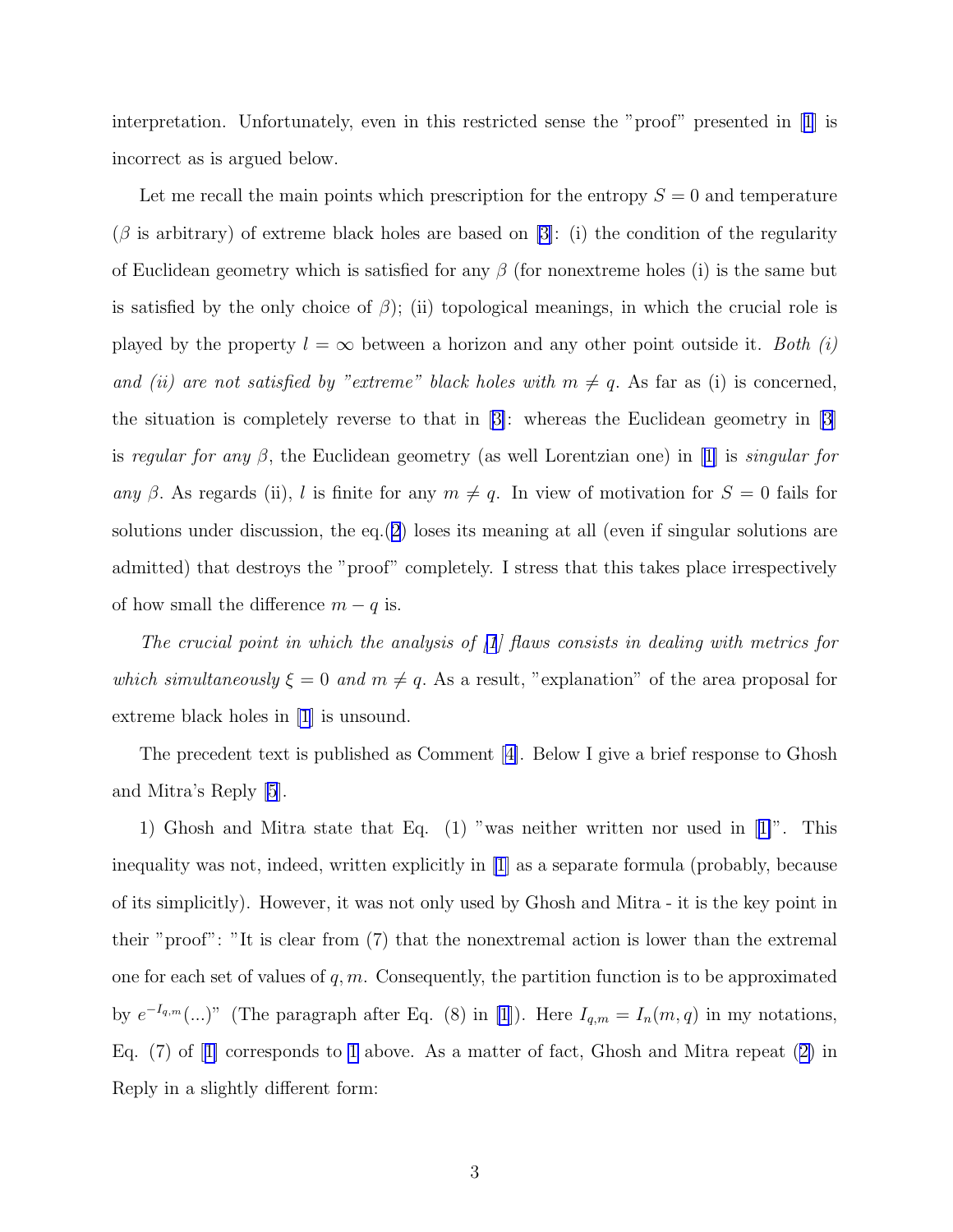interpretation. Unfortunately, even in this restricted sense the "proof" presented in[[1](#page-4-0)] is incorrect as is argued below.

Let me recall the main points which prescription for the entropy  $S = 0$  and temperature  $(\beta$  is arbitrary) of extreme black holes are based on [\[3](#page-4-0)]: (i) the condition of the regularity of Euclidean geometry which is satisfied for any  $\beta$  (for nonextreme holes (i) is the same but is satisfied by the only choice of  $\beta$ ); (ii) topological meanings, in which the crucial role is played by the property  $l = \infty$  between a horizon and any other point outside it. Both (i) and (ii) are not satisfied by "extreme" black holes with  $m \neq q$ . As far as (i) is concerned, the situation is completely reverse to that in[[3\]](#page-4-0): whereas the Euclidean geometry in [\[3\]](#page-4-0) isregular for any  $\beta$ , the Euclidean geometry (as well Lorentzian one) in [[1\]](#page-4-0) is *singular for* any β. As regards (ii), l is finite for any  $m \neq q$ . In view of motivation for  $S = 0$  fails for solutions under discussion, the eq.  $(2)$  $(2)$  $(2)$  loses its meaning at all (even if singular solutions are admitted) that destroys the "proof" completely. I stress that this takes place irrespectively of how small the difference  $m - q$  is.

The crucial point in which the analysis of [\[1](#page-4-0)] flaws consists in dealing with metrics for which simultaneously  $\xi = 0$  and  $m \neq q$ . As a result, "explanation" of the area proposal for extreme black holes in [\[1](#page-4-0)] is unsound.

The precedent text is published as Comment[[4\]](#page-4-0). Below I give a brief response to Ghosh and Mitra's Reply [\[5](#page-4-0)].

1) Ghosh and Mitra state that Eq. (1) "was neither written nor used in[[1\]](#page-4-0)". This inequality was not, indeed, written explicitly in [\[1\]](#page-4-0) as a separate formula (probably, because of its simplicitly). However, it was not only used by Ghosh and Mitra - it is the key point in their "proof": "It is clear from (7) that the nonextremal action is lower than the extremal one for each set of values of  $q, m$ . Consequently, the partition function is to be approximated by  $e^{-I_{q,m}}(...)$ " (The paragraph after Eq. (8) in [\[1](#page-4-0)]). Here  $I_{q,m}=I_n(m,q)$  in my notations, Eq. (7) of[[1\]](#page-4-0) corresponds to [1](#page-0-0) above. As a matter of fact, Ghosh and Mitra repeat([2\)](#page-0-0) in Reply in a slightly different form: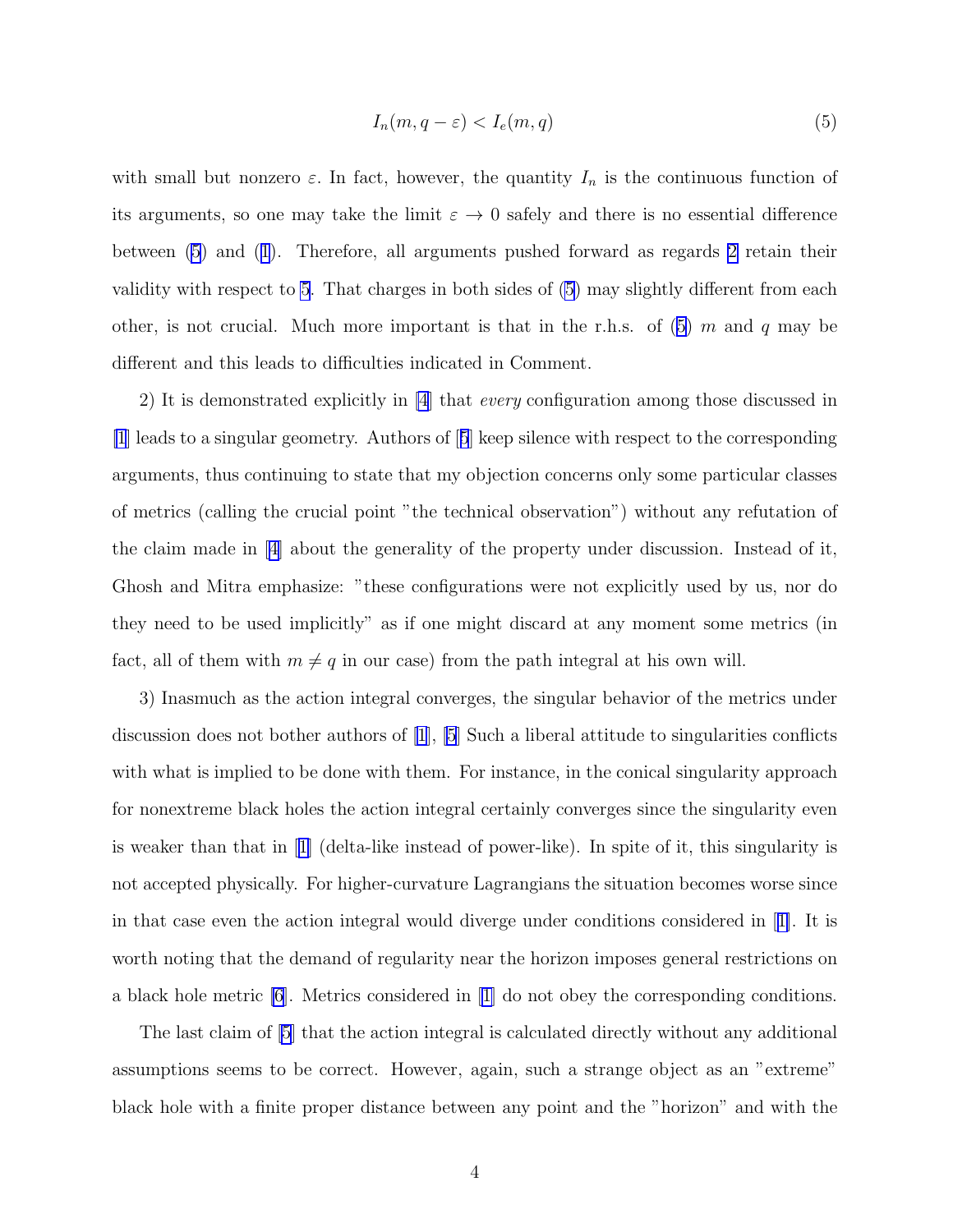$$
I_n(m, q - \varepsilon) < I_e(m, q) \tag{5}
$$

with small but nonzero  $\varepsilon$ . In fact, however, the quantity  $I_n$  is the continuous function of its arguments, so one may take the limit  $\varepsilon \to 0$  safely and there is no essential difference between (5) and([1](#page-0-0)). Therefore, all arguments pushed forward as regards [2](#page-0-0) retain their validity with respect to 5. That charges in both sides of (5) may slightly different from each other, is not crucial. Much more important is that in the r.h.s. of  $(5)$  m and q may be different and this leads to difficulties indicated in Comment.

2) It is demonstrated explicitly in [\[4](#page-4-0)] that every configuration among those discussed in [\[1](#page-4-0)] leads to a singular geometry. Authors of[[5](#page-4-0)] keep silence with respect to the corresponding arguments, thus continuing to state that my objection concerns only some particular classes of metrics (calling the crucial point "the technical observation") without any refutation of the claim made in [\[4\]](#page-4-0) about the generality of the property under discussion. Instead of it, Ghosh and Mitra emphasize: "these configurations were not explicitly used by us, nor do they need to be used implicitly" as if one might discard at any moment some metrics (in fact, all of them with  $m \neq q$  in our case) from the path integral at his own will.

3) Inasmuch as the action integral converges, the singular behavior of the metrics under discussion does not bother authors of [\[1](#page-4-0)], [\[5](#page-4-0)] Such a liberal attitude to singularities conflicts with what is implied to be done with them. For instance, in the conical singularity approach for nonextreme black holes the action integral certainly converges since the singularity even is weaker than that in[[1\]](#page-4-0) (delta-like instead of power-like). In spite of it, this singularity is not accepted physically. For higher-curvature Lagrangians the situation becomes worse since in that case even the action integral would diverge under conditions considered in[[1\]](#page-4-0). It is worth noting that the demand of regularity near the horizon imposes general restrictions on a black hole metric [\[6](#page-4-0)]. Metrics considered in[[1\]](#page-4-0) do not obey the corresponding conditions.

The last claim of [\[5](#page-4-0)] that the action integral is calculated directly without any additional assumptions seems to be correct. However, again, such a strange object as an "extreme" black hole with a finite proper distance between any point and the "horizon" and with the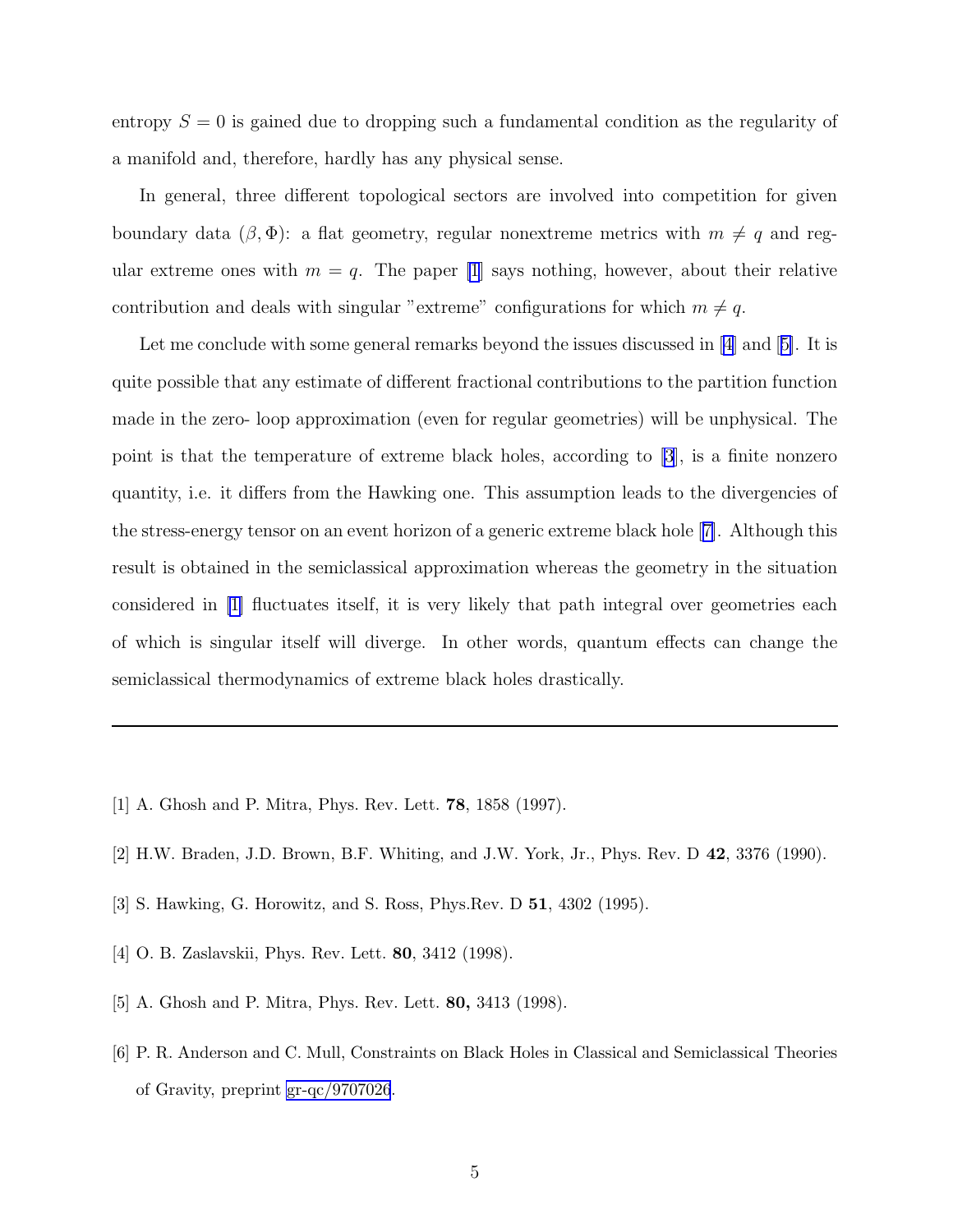<span id="page-4-0"></span>entropy  $S = 0$  is gained due to dropping such a fundamental condition as the regularity of a manifold and, therefore, hardly has any physical sense.

In general, three different topological sectors are involved into competition for given boundary data  $(\beta, \Phi)$ : a flat geometry, regular nonextreme metrics with  $m \neq q$  and regular extreme ones with  $m = q$ . The paper [1] says nothing, however, about their relative contribution and deals with singular "extreme" configurations for which  $m \neq q$ .

Let me conclude with some general remarks beyond the issues discussed in  $[4]$  and  $[5]$ . It is quite possible that any estimate of different fractional contributions to the partition function made in the zero- loop approximation (even for regular geometries) will be unphysical. The point is that the temperature of extreme black holes, according to [3], is a finite nonzero quantity, i.e. it differs from the Hawking one. This assumption leads to the divergencies of the stress-energy tensor on an event horizon of a generic extreme black hole [7]. Although this result is obtained in the semiclassical approximation whereas the geometry in the situation considered in [1] fluctuates itself, it is very likely that path integral over geometries each of which is singular itself will diverge. In other words, quantum effects can change the semiclassical thermodynamics of extreme black holes drastically.

- [1] A. Ghosh and P. Mitra, Phys. Rev. Lett. 78, 1858 (1997).
- [2] H.W. Braden, J.D. Brown, B.F. Whiting, and J.W. York, Jr., Phys. Rev. D 42, 3376 (1990).
- [3] S. Hawking, G. Horowitz, and S. Ross, Phys.Rev. D 51, 4302 (1995).
- [4] O. B. Zaslavskii, Phys. Rev. Lett. 80, 3412 (1998).
- [5] A. Ghosh and P. Mitra, Phys. Rev. Lett. 80, 3413 (1998).
- [6] P. R. Anderson and C. Mull, Constraints on Black Holes in Classical and Semiclassical Theories of Gravity, preprint [gr-qc/9707026](http://arxiv.org/abs/gr-qc/9707026).